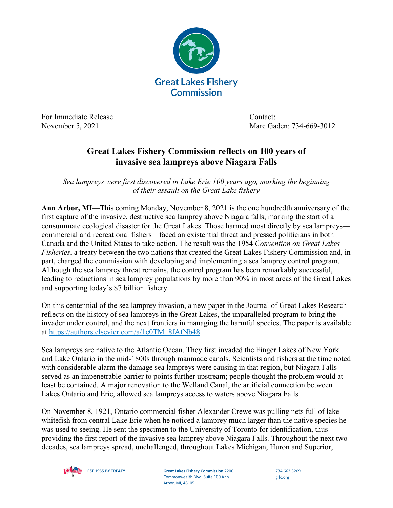

For Immediate Release Contact:

November 5, 2021 **Marc Gaden: 734-669-3012** 

## **Great Lakes Fishery Commission reflects on 100 years of invasive sea lampreys above Niagara Falls**

*Sea lampreys were first discovered in Lake Erie 100 years ago, marking the beginning of their assault on the Great Lake fishery*

**Ann Arbor, MI**—This coming Monday, November 8, 2021 is the one hundredth anniversary of the first capture of the invasive, destructive sea lamprey above Niagara falls, marking the start of a consummate ecological disaster for the Great Lakes. Those harmed most directly by sea lampreys commercial and recreational fishers—faced an existential threat and pressed politicians in both Canada and the United States to take action. The result was the 1954 *Convention on Great Lakes Fisheries*, a treaty between the two nations that created the Great Lakes Fishery Commission and, in part, charged the commission with developing and implementing a sea lamprey control program. Although the sea lamprey threat remains, the control program has been remarkably successful, leading to reductions in sea lamprey populations by more than 90% in most areas of the Great Lakes and supporting today's \$7 billion fishery.

On this centennial of the sea lamprey invasion, a new paper in the Journal of Great Lakes Research reflects on the history of sea lampreys in the Great Lakes, the unparalleled program to bring the invader under control, and the next frontiers in managing the harmful species. The paper is available at [https://authors.elsevier.com/a/1e0TM\\_8fAfNb48.](https://authors.elsevier.com/a/1e0TM_8fAfNb48)

Sea lampreys are native to the Atlantic Ocean. They first invaded the Finger Lakes of New York and Lake Ontario in the mid-1800s through manmade canals. Scientists and fishers at the time noted with considerable alarm the damage sea lampreys were causing in that region, but Niagara Falls served as an impenetrable barrier to points further upstream; people thought the problem would at least be contained. A major renovation to the Welland Canal, the artificial connection between Lakes Ontario and Erie, allowed sea lampreys access to waters above Niagara Falls.

On November 8, 1921, Ontario commercial fisher Alexander Crewe was pulling nets full of lake whitefish from central Lake Erie when he noticed a lamprey much larger than the native species he was used to seeing. He sent the specimen to the University of Toronto for identification, thus providing the first report of the invasive sea lamprey above Niagara Falls. Throughout the next two decades, sea lampreys spread, unchallenged, throughout Lakes Michigan, Huron and Superior,



**EST 1955 BY TREATY Great Lakes Fishery Commission** 2200 Commonwealth Blvd, Suite 100 Ann Arbor, MI, 48105

734.662.3209 glfc.org